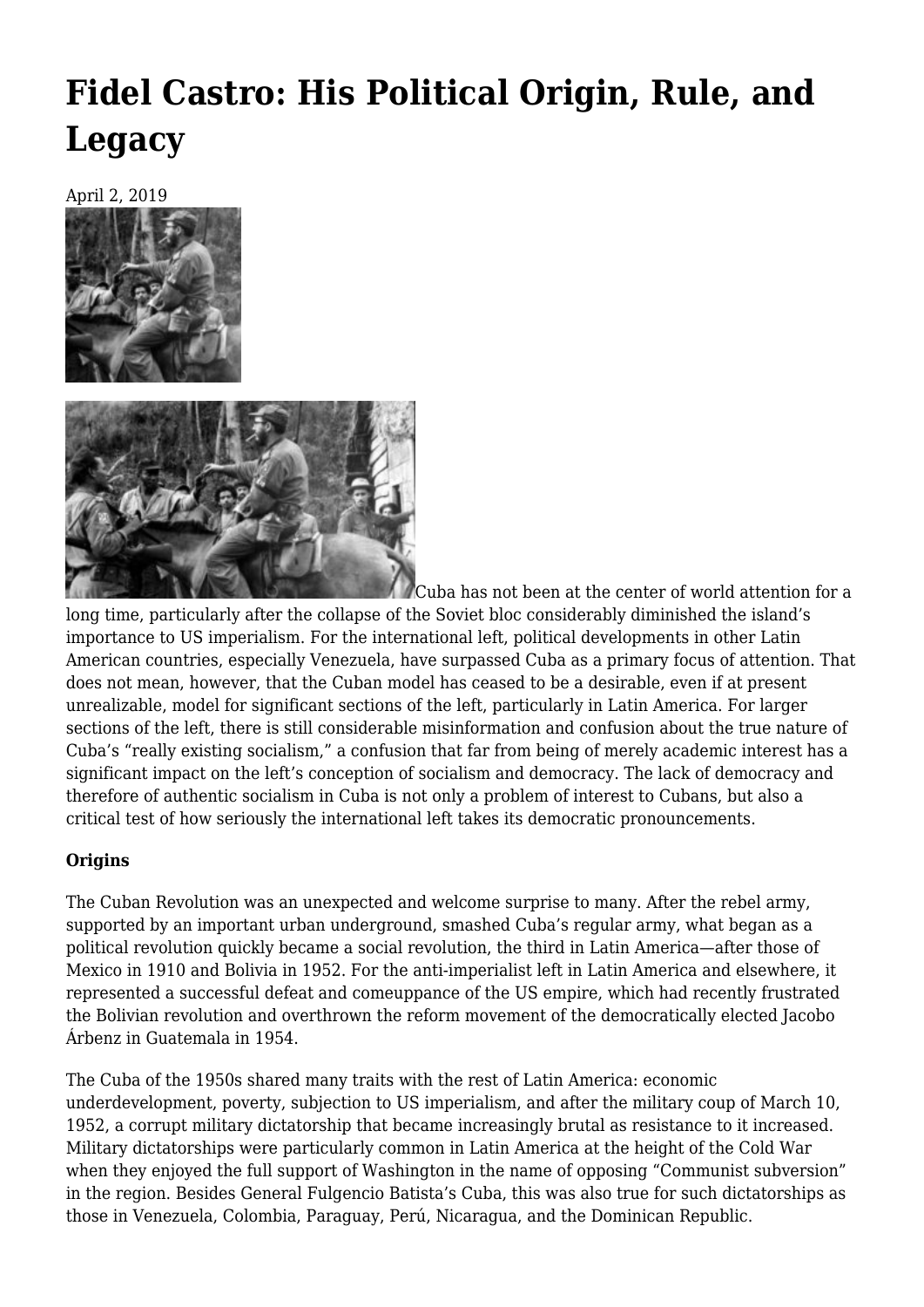# **[Fidel Castro: His Political Origin, Rule, and](https://newpol.org/fidel-castro-his-political-origin-rule-and-legacy/) [Legacy](https://newpol.org/fidel-castro-his-political-origin-rule-and-legacy/)**

April 2, 2019





Cuba has not been at the center of world attention for a long time, particularly after the collapse of the Soviet bloc considerably diminished the island's importance to US imperialism. For the international left, political developments in other Latin American countries, especially Venezuela, have surpassed Cuba as a primary focus of attention. That does not mean, however, that the Cuban model has ceased to be a desirable, even if at present unrealizable, model for significant sections of the left, particularly in Latin America. For larger sections of the left, there is still considerable misinformation and confusion about the true nature of Cuba's "really existing socialism," a confusion that far from being of merely academic interest has a significant impact on the left's conception of socialism and democracy. The lack of democracy and therefore of authentic socialism in Cuba is not only a problem of interest to Cubans, but also a critical test of how seriously the international left takes its democratic pronouncements.

### **Origins**

The Cuban Revolution was an unexpected and welcome surprise to many. After the rebel army, supported by an important urban underground, smashed Cuba's regular army, what began as a political revolution quickly became a social revolution, the third in Latin America—after those of Mexico in 1910 and Bolivia in 1952. For the anti-imperialist left in Latin America and elsewhere, it represented a successful defeat and comeuppance of the US empire, which had recently frustrated the Bolivian revolution and overthrown the reform movement of the democratically elected Jacobo Árbenz in Guatemala in 1954.

The Cuba of the 1950s shared many traits with the rest of Latin America: economic underdevelopment, poverty, subjection to US imperialism, and after the military coup of March 10, 1952, a corrupt military dictatorship that became increasingly brutal as resistance to it increased. Military dictatorships were particularly common in Latin America at the height of the Cold War when they enjoyed the full support of Washington in the name of opposing "Communist subversion" in the region. Besides General Fulgencio Batista's Cuba, this was also true for such dictatorships as those in Venezuela, Colombia, Paraguay, Perú, Nicaragua, and the Dominican Republic.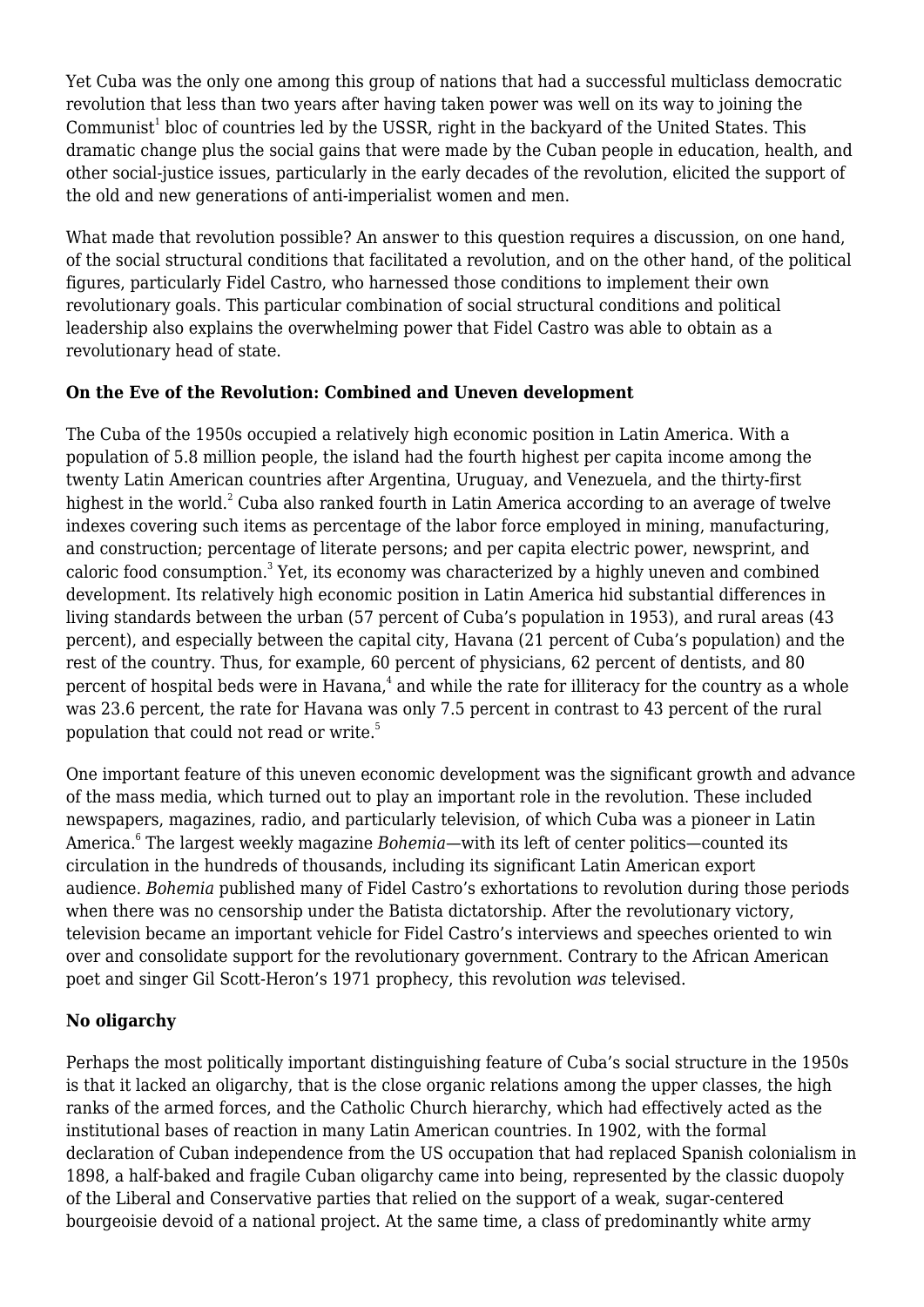Yet Cuba was the only one among this group of nations that had a successful multiclass democratic revolution that less than two years after having taken power was well on its way to joining the Communist $^1$  bloc of countries led by the USSR, right in the backyard of the United States. This dramatic change plus the social gains that were made by the Cuban people in education, health, and other social-justice issues, particularly in the early decades of the revolution, elicited the support of the old and new generations of anti-imperialist women and men.

What made that revolution possible? An answer to this question requires a discussion, on one hand, of the social structural conditions that facilitated a revolution, and on the other hand, of the political figures, particularly Fidel Castro, who harnessed those conditions to implement their own revolutionary goals. This particular combination of social structural conditions and political leadership also explains the overwhelming power that Fidel Castro was able to obtain as a revolutionary head of state.

### **On the Eve of the Revolution: Combined and Uneven development**

The Cuba of the 1950s occupied a relatively high economic position in Latin America. With a population of 5.8 million people, the island had the fourth highest per capita income among the twenty Latin American countries after Argentina, Uruguay, and Venezuela, and the thirty-first highest in the world. $^2$  Cuba also ranked fourth in Latin America according to an average of twelve indexes covering such items as percentage of the labor force employed in mining, manufacturing, and construction; percentage of literate persons; and per capita electric power, newsprint, and caloric food consumption.<sup>3</sup> Yet, its economy was characterized by a highly uneven and combined development. Its relatively high economic position in Latin America hid substantial differences in living standards between the urban (57 percent of Cuba's population in 1953), and rural areas (43 percent), and especially between the capital city, Havana (21 percent of Cuba's population) and the rest of the country. Thus, for example, 60 percent of physicians, 62 percent of dentists, and 80 percent of hospital beds were in Havana, $^4$  and while the rate for illiteracy for the country as a whole was 23.6 percent, the rate for Havana was only 7.5 percent in contrast to 43 percent of the rural population that could not read or write.<sup>5</sup>

One important feature of this uneven economic development was the significant growth and advance of the mass media, which turned out to play an important role in the revolution. These included newspapers, magazines, radio, and particularly television, of which Cuba was a pioneer in Latin America.<sup>6</sup> The largest weekly magazine *Bohemia*—with its left of center politics—counted its circulation in the hundreds of thousands, including its significant Latin American export audience. *Bohemia* published many of Fidel Castro's exhortations to revolution during those periods when there was no censorship under the Batista dictatorship. After the revolutionary victory, television became an important vehicle for Fidel Castro's interviews and speeches oriented to win over and consolidate support for the revolutionary government. Contrary to the African American poet and singer Gil Scott-Heron's 1971 prophecy, this revolution *was* televised.

### **No oligarchy**

Perhaps the most politically important distinguishing feature of Cuba's social structure in the 1950s is that it lacked an oligarchy, that is the close organic relations among the upper classes, the high ranks of the armed forces, and the Catholic Church hierarchy, which had effectively acted as the institutional bases of reaction in many Latin American countries. In 1902, with the formal declaration of Cuban independence from the US occupation that had replaced Spanish colonialism in 1898, a half-baked and fragile Cuban oligarchy came into being, represented by the classic duopoly of the Liberal and Conservative parties that relied on the support of a weak, sugar-centered bourgeoisie devoid of a national project. At the same time, a class of predominantly white army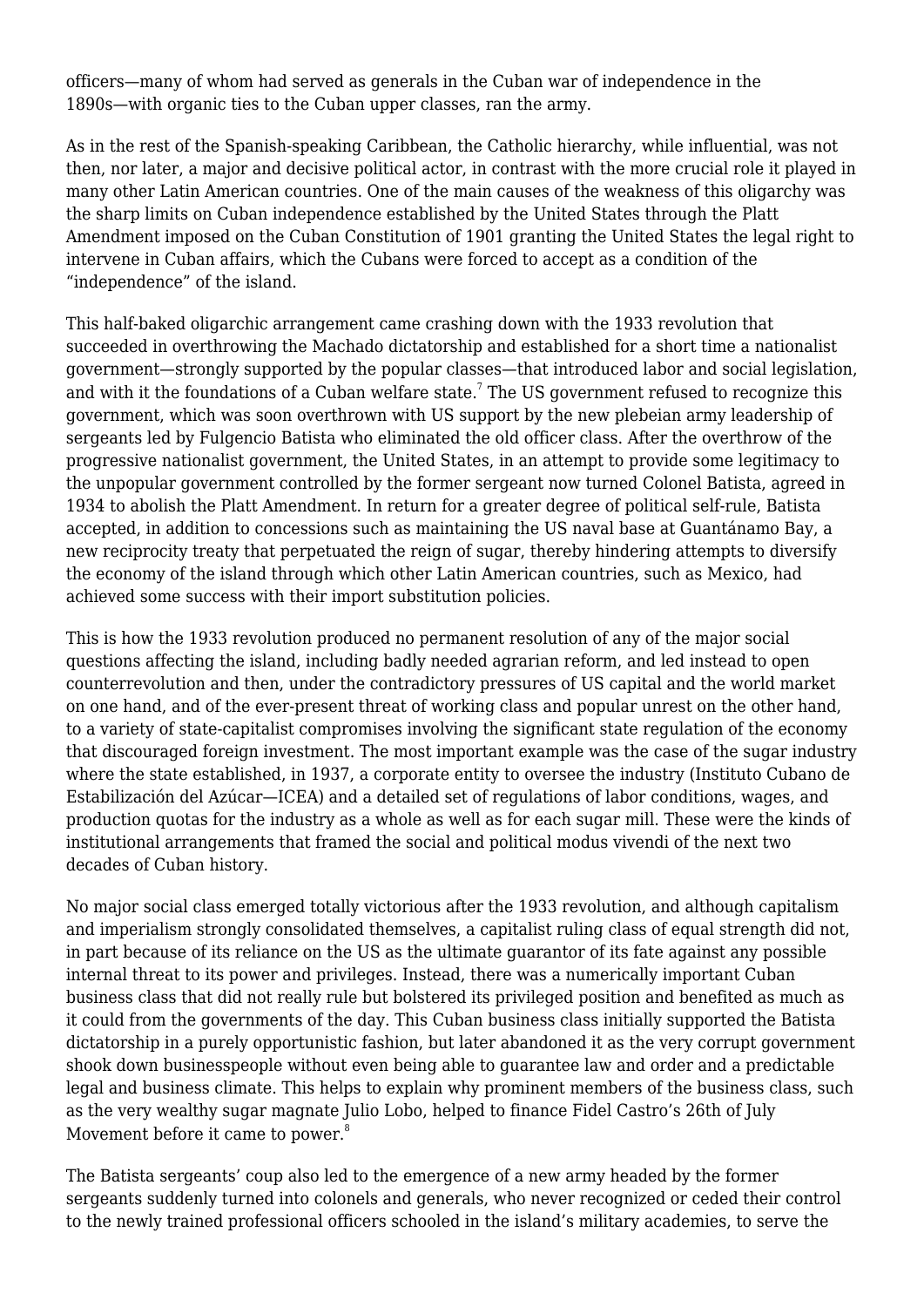officers—many of whom had served as generals in the Cuban war of independence in the 1890s—with organic ties to the Cuban upper classes, ran the army.

As in the rest of the Spanish-speaking Caribbean, the Catholic hierarchy, while influential, was not then, nor later, a major and decisive political actor, in contrast with the more crucial role it played in many other Latin American countries. One of the main causes of the weakness of this oligarchy was the sharp limits on Cuban independence established by the United States through the Platt Amendment imposed on the Cuban Constitution of 1901 granting the United States the legal right to intervene in Cuban affairs, which the Cubans were forced to accept as a condition of the "independence" of the island.

This half-baked oligarchic arrangement came crashing down with the 1933 revolution that succeeded in overthrowing the Machado dictatorship and established for a short time a nationalist government—strongly supported by the popular classes—that introduced labor and social legislation, and with it the foundations of a Cuban welfare state. $^7$  The US government refused to recognize this government, which was soon overthrown with US support by the new plebeian army leadership of sergeants led by Fulgencio Batista who eliminated the old officer class. After the overthrow of the progressive nationalist government, the United States, in an attempt to provide some legitimacy to the unpopular government controlled by the former sergeant now turned Colonel Batista, agreed in 1934 to abolish the Platt Amendment. In return for a greater degree of political self-rule, Batista accepted, in addition to concessions such as maintaining the US naval base at Guantánamo Bay, a new reciprocity treaty that perpetuated the reign of sugar, thereby hindering attempts to diversify the economy of the island through which other Latin American countries, such as Mexico, had achieved some success with their import substitution policies.

This is how the 1933 revolution produced no permanent resolution of any of the major social questions affecting the island, including badly needed agrarian reform, and led instead to open counterrevolution and then, under the contradictory pressures of US capital and the world market on one hand, and of the ever-present threat of working class and popular unrest on the other hand, to a variety of state-capitalist compromises involving the significant state regulation of the economy that discouraged foreign investment. The most important example was the case of the sugar industry where the state established, in 1937, a corporate entity to oversee the industry (Instituto Cubano de Estabilización del Azúcar—ICEA) and a detailed set of regulations of labor conditions, wages, and production quotas for the industry as a whole as well as for each sugar mill. These were the kinds of institutional arrangements that framed the social and political modus vivendi of the next two decades of Cuban history.

No major social class emerged totally victorious after the 1933 revolution, and although capitalism and imperialism strongly consolidated themselves, a capitalist ruling class of equal strength did not, in part because of its reliance on the US as the ultimate guarantor of its fate against any possible internal threat to its power and privileges. Instead, there was a numerically important Cuban business class that did not really rule but bolstered its privileged position and benefited as much as it could from the governments of the day. This Cuban business class initially supported the Batista dictatorship in a purely opportunistic fashion, but later abandoned it as the very corrupt government shook down businesspeople without even being able to guarantee law and order and a predictable legal and business climate. This helps to explain why prominent members of the business class, such as the very wealthy sugar magnate Julio Lobo, helped to finance Fidel Castro's 26th of July Movement before it came to power.<sup>8</sup>

The Batista sergeants' coup also led to the emergence of a new army headed by the former sergeants suddenly turned into colonels and generals, who never recognized or ceded their control to the newly trained professional officers schooled in the island's military academies, to serve the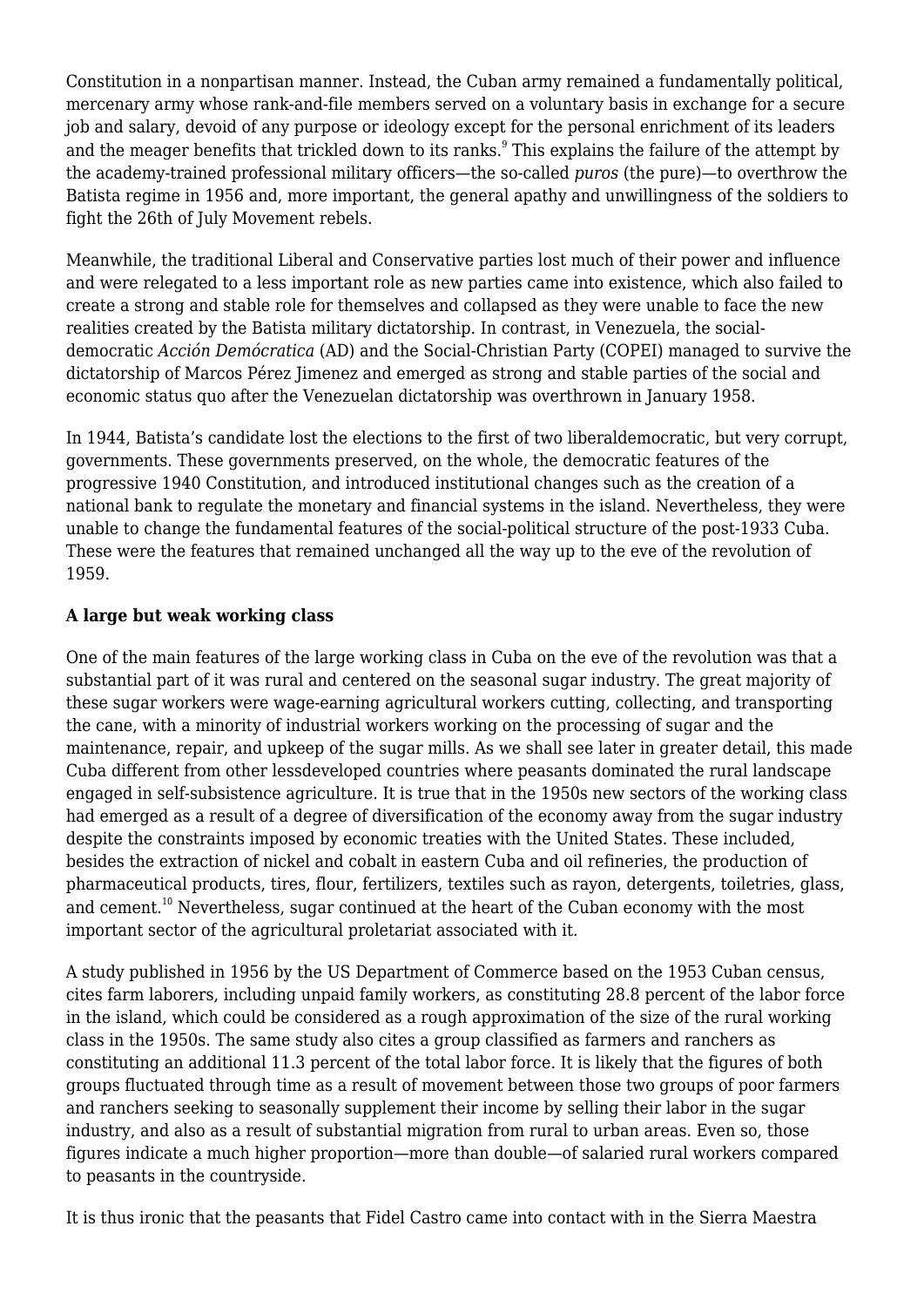Constitution in a nonpartisan manner. Instead, the Cuban army remained a fundamentally political, mercenary army whose rank-and-file members served on a voluntary basis in exchange for a secure job and salary, devoid of any purpose or ideology except for the personal enrichment of its leaders and the meager benefits that trickled down to its ranks.<sup>9</sup> This explains the failure of the attempt by the academy-trained professional military officers—the so-called *puros* (the pure)—to overthrow the Batista regime in 1956 and, more important, the general apathy and unwillingness of the soldiers to fight the 26th of July Movement rebels.

Meanwhile, the traditional Liberal and Conservative parties lost much of their power and influence and were relegated to a less important role as new parties came into existence, which also failed to create a strong and stable role for themselves and collapsed as they were unable to face the new realities created by the Batista military dictatorship. In contrast, in Venezuela, the socialdemocratic *Acción Demócratica* (AD) and the Social-Christian Party (COPEI) managed to survive the dictatorship of Marcos Pérez Jimenez and emerged as strong and stable parties of the social and economic status quo after the Venezuelan dictatorship was overthrown in January 1958.

In 1944, Batista's candidate lost the elections to the first of two liberaldemocratic, but very corrupt, governments. These governments preserved, on the whole, the democratic features of the progressive 1940 Constitution, and introduced institutional changes such as the creation of a national bank to regulate the monetary and financial systems in the island. Nevertheless, they were unable to change the fundamental features of the social-political structure of the post-1933 Cuba. These were the features that remained unchanged all the way up to the eve of the revolution of 1959.

### **A large but weak working class**

One of the main features of the large working class in Cuba on the eve of the revolution was that a substantial part of it was rural and centered on the seasonal sugar industry. The great majority of these sugar workers were wage-earning agricultural workers cutting, collecting, and transporting the cane, with a minority of industrial workers working on the processing of sugar and the maintenance, repair, and upkeep of the sugar mills. As we shall see later in greater detail, this made Cuba different from other lessdeveloped countries where peasants dominated the rural landscape engaged in self-subsistence agriculture. It is true that in the 1950s new sectors of the working class had emerged as a result of a degree of diversification of the economy away from the sugar industry despite the constraints imposed by economic treaties with the United States. These included, besides the extraction of nickel and cobalt in eastern Cuba and oil refineries, the production of pharmaceutical products, tires, flour, fertilizers, textiles such as rayon, detergents, toiletries, glass, and cement.<sup>10</sup> Nevertheless, sugar continued at the heart of the Cuban economy with the most important sector of the agricultural proletariat associated with it.

A study published in 1956 by the US Department of Commerce based on the 1953 Cuban census, cites farm laborers, including unpaid family workers, as constituting 28.8 percent of the labor force in the island, which could be considered as a rough approximation of the size of the rural working class in the 1950s. The same study also cites a group classified as farmers and ranchers as constituting an additional 11.3 percent of the total labor force. It is likely that the figures of both groups fluctuated through time as a result of movement between those two groups of poor farmers and ranchers seeking to seasonally supplement their income by selling their labor in the sugar industry, and also as a result of substantial migration from rural to urban areas. Even so, those figures indicate a much higher proportion—more than double—of salaried rural workers compared to peasants in the countryside.

It is thus ironic that the peasants that Fidel Castro came into contact with in the Sierra Maestra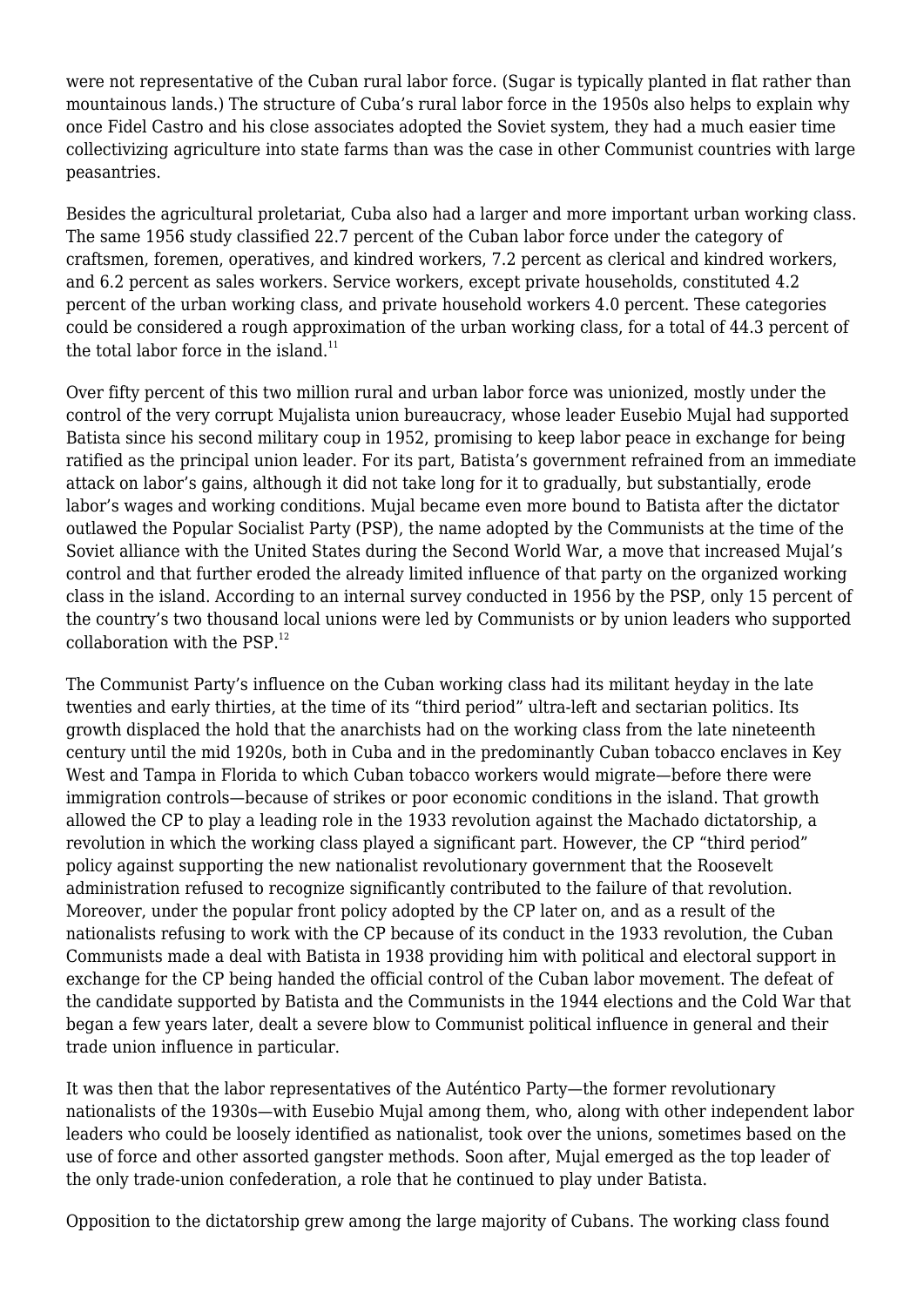were not representative of the Cuban rural labor force. (Sugar is typically planted in flat rather than mountainous lands.) The structure of Cuba's rural labor force in the 1950s also helps to explain why once Fidel Castro and his close associates adopted the Soviet system, they had a much easier time collectivizing agriculture into state farms than was the case in other Communist countries with large peasantries.

Besides the agricultural proletariat, Cuba also had a larger and more important urban working class. The same 1956 study classified 22.7 percent of the Cuban labor force under the category of craftsmen, foremen, operatives, and kindred workers, 7.2 percent as clerical and kindred workers, and 6.2 percent as sales workers. Service workers, except private households, constituted 4.2 percent of the urban working class, and private household workers 4.0 percent. These categories could be considered a rough approximation of the urban working class, for a total of 44.3 percent of the total labor force in the island. $11$ 

Over fifty percent of this two million rural and urban labor force was unionized, mostly under the control of the very corrupt Mujalista union bureaucracy, whose leader Eusebio Mujal had supported Batista since his second military coup in 1952, promising to keep labor peace in exchange for being ratified as the principal union leader. For its part, Batista's government refrained from an immediate attack on labor's gains, although it did not take long for it to gradually, but substantially, erode labor's wages and working conditions. Mujal became even more bound to Batista after the dictator outlawed the Popular Socialist Party (PSP), the name adopted by the Communists at the time of the Soviet alliance with the United States during the Second World War, a move that increased Mujal's control and that further eroded the already limited influence of that party on the organized working class in the island. According to an internal survey conducted in 1956 by the PSP, only 15 percent of the country's two thousand local unions were led by Communists or by union leaders who supported collaboration with the  $PSP<sub>12</sub>$ 

The Communist Party's influence on the Cuban working class had its militant heyday in the late twenties and early thirties, at the time of its "third period" ultra-left and sectarian politics. Its growth displaced the hold that the anarchists had on the working class from the late nineteenth century until the mid 1920s, both in Cuba and in the predominantly Cuban tobacco enclaves in Key West and Tampa in Florida to which Cuban tobacco workers would migrate—before there were immigration controls—because of strikes or poor economic conditions in the island. That growth allowed the CP to play a leading role in the 1933 revolution against the Machado dictatorship, a revolution in which the working class played a significant part. However, the CP "third period" policy against supporting the new nationalist revolutionary government that the Roosevelt administration refused to recognize significantly contributed to the failure of that revolution. Moreover, under the popular front policy adopted by the CP later on, and as a result of the nationalists refusing to work with the CP because of its conduct in the 1933 revolution, the Cuban Communists made a deal with Batista in 1938 providing him with political and electoral support in exchange for the CP being handed the official control of the Cuban labor movement. The defeat of the candidate supported by Batista and the Communists in the 1944 elections and the Cold War that began a few years later, dealt a severe blow to Communist political influence in general and their trade union influence in particular.

It was then that the labor representatives of the Auténtico Party—the former revolutionary nationalists of the 1930s—with Eusebio Mujal among them, who, along with other independent labor leaders who could be loosely identified as nationalist, took over the unions, sometimes based on the use of force and other assorted gangster methods. Soon after, Mujal emerged as the top leader of the only trade-union confederation, a role that he continued to play under Batista.

Opposition to the dictatorship grew among the large majority of Cubans. The working class found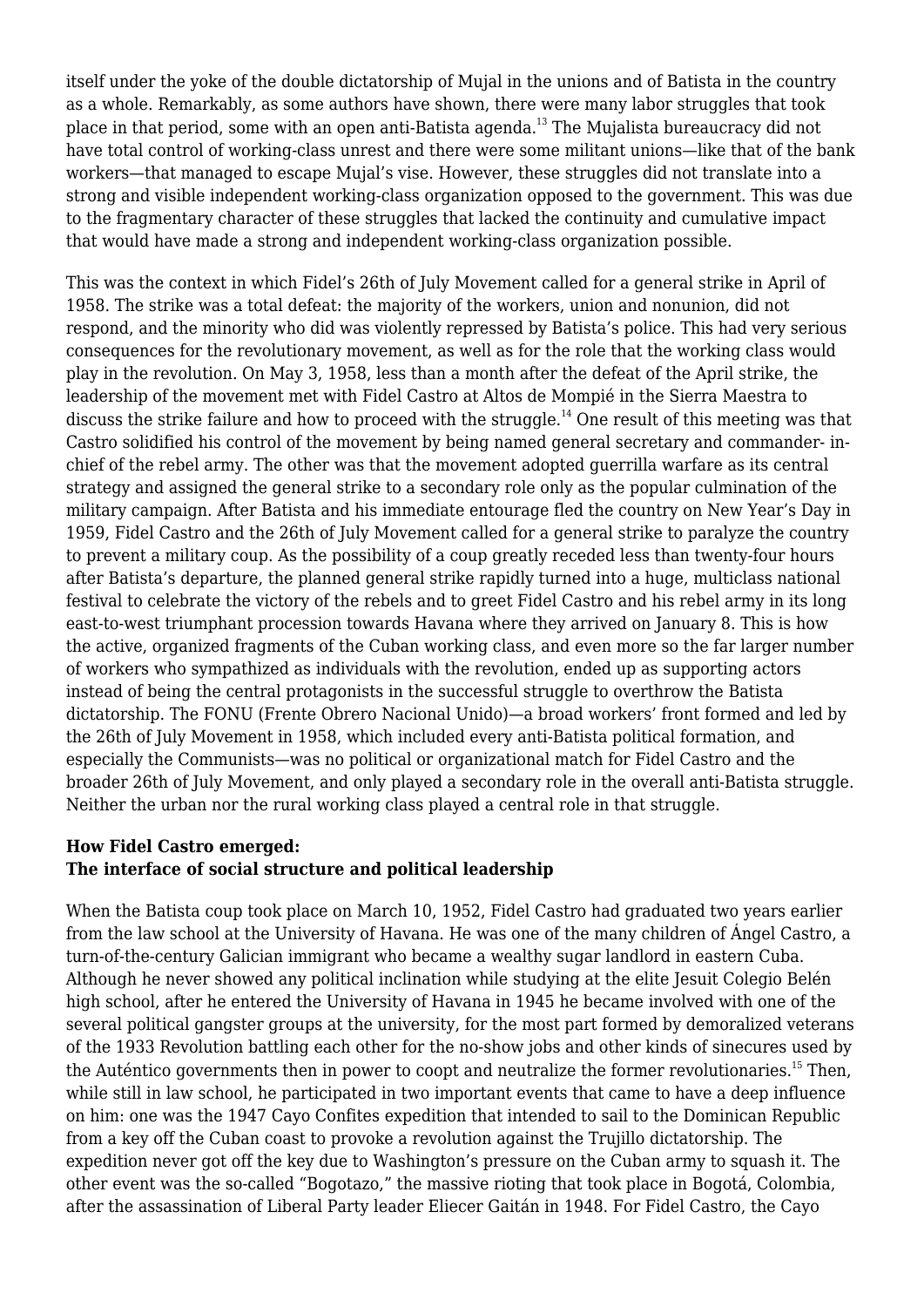itself under the yoke of the double dictatorship of Mujal in the unions and of Batista in the country as a whole. Remarkably, as some authors have shown, there were many labor struggles that took place in that period, some with an open anti-Batista agenda.<sup>13</sup> The Mujalista bureaucracy did not have total control of working-class unrest and there were some militant unions—like that of the bank workers—that managed to escape Mujal's vise. However, these struggles did not translate into a strong and visible independent working-class organization opposed to the government. This was due to the fragmentary character of these struggles that lacked the continuity and cumulative impact that would have made a strong and independent working-class organization possible.

This was the context in which Fidel's 26th of July Movement called for a general strike in April of 1958. The strike was a total defeat: the majority of the workers, union and nonunion, did not respond, and the minority who did was violently repressed by Batista's police. This had very serious consequences for the revolutionary movement, as well as for the role that the working class would play in the revolution. On May 3, 1958, less than a month after the defeat of the April strike, the leadership of the movement met with Fidel Castro at Altos de Mompié in the Sierra Maestra to discuss the strike failure and how to proceed with the struggle.<sup>14</sup> One result of this meeting was that Castro solidified his control of the movement by being named general secretary and commander- inchief of the rebel army. The other was that the movement adopted guerrilla warfare as its central strategy and assigned the general strike to a secondary role only as the popular culmination of the military campaign. After Batista and his immediate entourage fled the country on New Year's Day in 1959, Fidel Castro and the 26th of July Movement called for a general strike to paralyze the country to prevent a military coup. As the possibility of a coup greatly receded less than twenty-four hours after Batista's departure, the planned general strike rapidly turned into a huge, multiclass national festival to celebrate the victory of the rebels and to greet Fidel Castro and his rebel army in its long east-to-west triumphant procession towards Havana where they arrived on January 8. This is how the active, organized fragments of the Cuban working class, and even more so the far larger number of workers who sympathized as individuals with the revolution, ended up as supporting actors instead of being the central protagonists in the successful struggle to overthrow the Batista dictatorship. The FONU (Frente Obrero Nacional Unido)—a broad workers' front formed and led by the 26th of July Movement in 1958, which included every anti-Batista political formation, and especially the Communists—was no political or organizational match for Fidel Castro and the broader 26th of July Movement, and only played a secondary role in the overall anti-Batista struggle. Neither the urban nor the rural working class played a central role in that struggle.

#### **How Fidel Castro emerged: The interface of social structure and political leadership**

When the Batista coup took place on March 10, 1952, Fidel Castro had graduated two years earlier from the law school at the University of Havana. He was one of the many children of Ángel Castro, a turn-of-the-century Galician immigrant who became a wealthy sugar landlord in eastern Cuba. Although he never showed any political inclination while studying at the elite Jesuit Colegio Belén high school, after he entered the University of Havana in 1945 he became involved with one of the several political gangster groups at the university, for the most part formed by demoralized veterans of the 1933 Revolution battling each other for the no-show jobs and other kinds of sinecures used by the Auténtico governments then in power to coopt and neutralize the former revolutionaries.<sup>15</sup> Then, while still in law school, he participated in two important events that came to have a deep influence on him: one was the 1947 Cayo Confites expedition that intended to sail to the Dominican Republic from a key off the Cuban coast to provoke a revolution against the Trujillo dictatorship. The expedition never got off the key due to Washington's pressure on the Cuban army to squash it. The other event was the so-called "Bogotazo," the massive rioting that took place in Bogotá, Colombia, after the assassination of Liberal Party leader Eliecer Gaitán in 1948. For Fidel Castro, the Cayo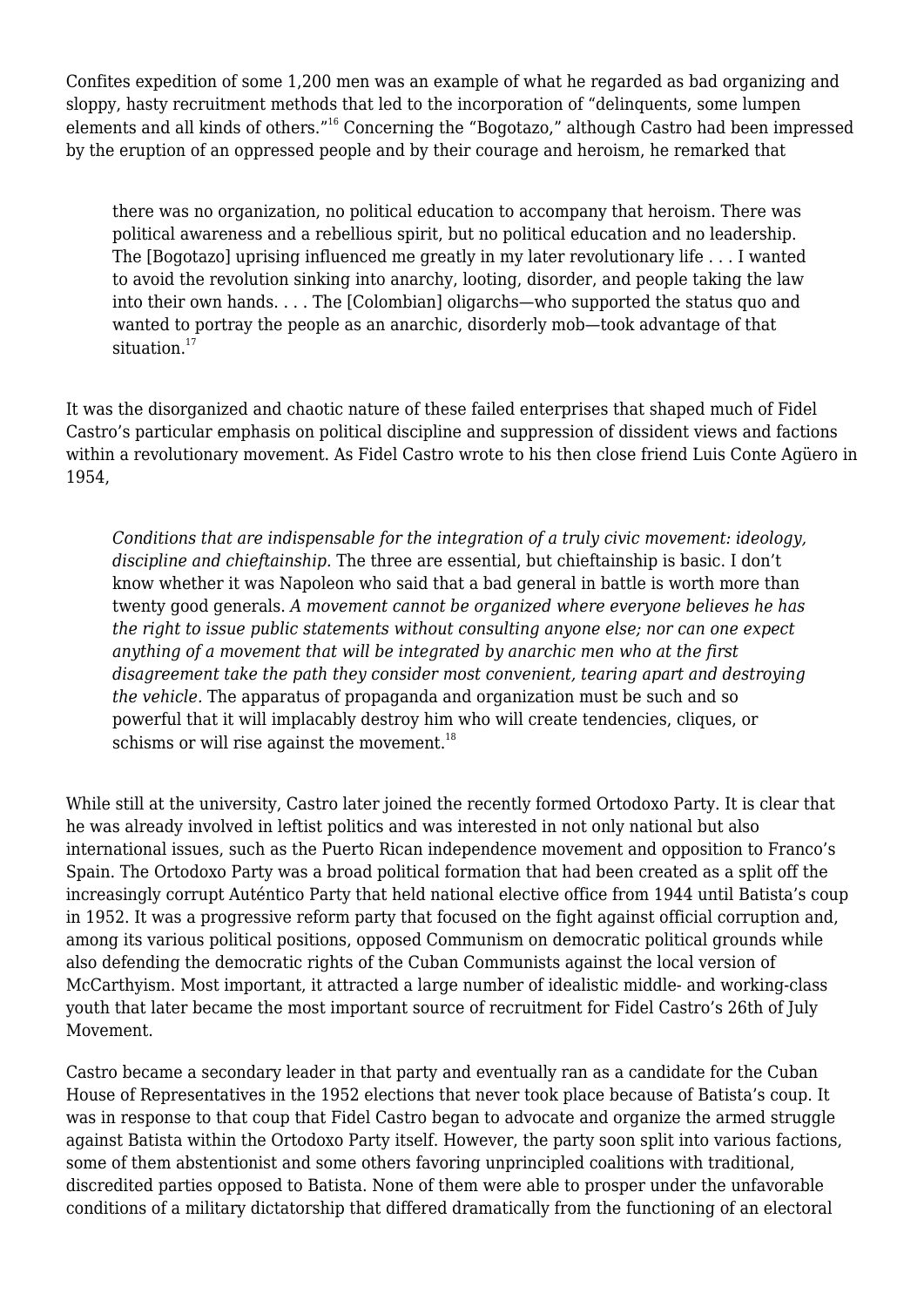Confites expedition of some 1,200 men was an example of what he regarded as bad organizing and sloppy, hasty recruitment methods that led to the incorporation of "delinquents, some lumpen elements and all kinds of others."<sup>16</sup> Concerning the "Bogotazo," although Castro had been impressed by the eruption of an oppressed people and by their courage and heroism, he remarked that

there was no organization, no political education to accompany that heroism. There was political awareness and a rebellious spirit, but no political education and no leadership. The [Bogotazo] uprising influenced me greatly in my later revolutionary life . . . I wanted to avoid the revolution sinking into anarchy, looting, disorder, and people taking the law into their own hands. . . . The [Colombian] oligarchs—who supported the status quo and wanted to portray the people as an anarchic, disorderly mob—took advantage of that situation.<sup>17</sup>

It was the disorganized and chaotic nature of these failed enterprises that shaped much of Fidel Castro's particular emphasis on political discipline and suppression of dissident views and factions within a revolutionary movement. As Fidel Castro wrote to his then close friend Luis Conte Agüero in 1954,

*Conditions that are indispensable for the integration of a truly civic movement: ideology, discipline and chieftainship.* The three are essential, but chieftainship is basic. I don't know whether it was Napoleon who said that a bad general in battle is worth more than twenty good generals. *A movement cannot be organized where everyone believes he has the right to issue public statements without consulting anyone else; nor can one expect anything of a movement that will be integrated by anarchic men who at the first disagreement take the path they consider most convenient, tearing apart and destroying the vehicle.* The apparatus of propaganda and organization must be such and so powerful that it will implacably destroy him who will create tendencies, cliques, or schisms or will rise against the movement. $18$ 

While still at the university, Castro later joined the recently formed Ortodoxo Party. It is clear that he was already involved in leftist politics and was interested in not only national but also international issues, such as the Puerto Rican independence movement and opposition to Franco's Spain. The Ortodoxo Party was a broad political formation that had been created as a split off the increasingly corrupt Auténtico Party that held national elective office from 1944 until Batista's coup in 1952. It was a progressive reform party that focused on the fight against official corruption and, among its various political positions, opposed Communism on democratic political grounds while also defending the democratic rights of the Cuban Communists against the local version of McCarthyism. Most important, it attracted a large number of idealistic middle- and working-class youth that later became the most important source of recruitment for Fidel Castro's 26th of July Movement.

Castro became a secondary leader in that party and eventually ran as a candidate for the Cuban House of Representatives in the 1952 elections that never took place because of Batista's coup. It was in response to that coup that Fidel Castro began to advocate and organize the armed struggle against Batista within the Ortodoxo Party itself. However, the party soon split into various factions, some of them abstentionist and some others favoring unprincipled coalitions with traditional, discredited parties opposed to Batista. None of them were able to prosper under the unfavorable conditions of a military dictatorship that differed dramatically from the functioning of an electoral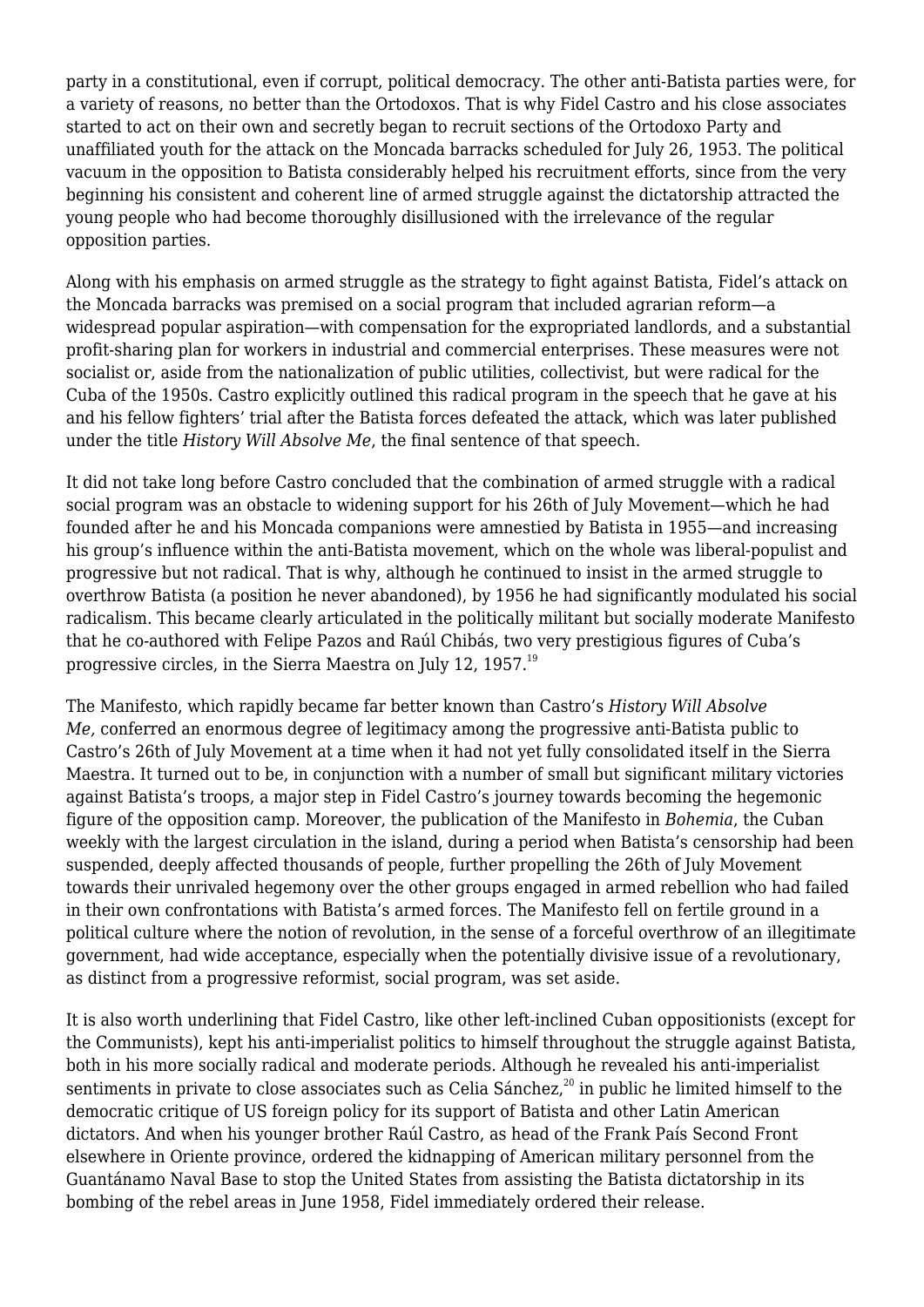party in a constitutional, even if corrupt, political democracy. The other anti-Batista parties were, for a variety of reasons, no better than the Ortodoxos. That is why Fidel Castro and his close associates started to act on their own and secretly began to recruit sections of the Ortodoxo Party and unaffiliated youth for the attack on the Moncada barracks scheduled for July 26, 1953. The political vacuum in the opposition to Batista considerably helped his recruitment efforts, since from the very beginning his consistent and coherent line of armed struggle against the dictatorship attracted the young people who had become thoroughly disillusioned with the irrelevance of the regular opposition parties.

Along with his emphasis on armed struggle as the strategy to fight against Batista. Fidel's attack on the Moncada barracks was premised on a social program that included agrarian reform—a widespread popular aspiration—with compensation for the expropriated landlords, and a substantial profit-sharing plan for workers in industrial and commercial enterprises. These measures were not socialist or, aside from the nationalization of public utilities, collectivist, but were radical for the Cuba of the 1950s. Castro explicitly outlined this radical program in the speech that he gave at his and his fellow fighters' trial after the Batista forces defeated the attack, which was later published under the title *History Will Absolve Me*, the final sentence of that speech.

It did not take long before Castro concluded that the combination of armed struggle with a radical social program was an obstacle to widening support for his 26th of July Movement—which he had founded after he and his Moncada companions were amnestied by Batista in 1955—and increasing his group's influence within the anti-Batista movement, which on the whole was liberal-populist and progressive but not radical. That is why, although he continued to insist in the armed struggle to overthrow Batista (a position he never abandoned), by 1956 he had significantly modulated his social radicalism. This became clearly articulated in the politically militant but socially moderate Manifesto that he co-authored with Felipe Pazos and Raúl Chibás, two very prestigious figures of Cuba's progressive circles, in the Sierra Maestra on July 12, 1957.<sup>19</sup>

The Manifesto, which rapidly became far better known than Castro's *History Will Absolve Me,* conferred an enormous degree of legitimacy among the progressive anti-Batista public to Castro's 26th of July Movement at a time when it had not yet fully consolidated itself in the Sierra Maestra. It turned out to be, in conjunction with a number of small but significant military victories against Batista's troops, a major step in Fidel Castro's journey towards becoming the hegemonic figure of the opposition camp. Moreover, the publication of the Manifesto in *Bohemia*, the Cuban weekly with the largest circulation in the island, during a period when Batista's censorship had been suspended, deeply affected thousands of people, further propelling the 26th of July Movement towards their unrivaled hegemony over the other groups engaged in armed rebellion who had failed in their own confrontations with Batista's armed forces. The Manifesto fell on fertile ground in a political culture where the notion of revolution, in the sense of a forceful overthrow of an illegitimate government, had wide acceptance, especially when the potentially divisive issue of a revolutionary, as distinct from a progressive reformist, social program, was set aside.

It is also worth underlining that Fidel Castro, like other left-inclined Cuban oppositionists (except for the Communists), kept his anti-imperialist politics to himself throughout the struggle against Batista, both in his more socially radical and moderate periods. Although he revealed his anti-imperialist sentiments in private to close associates such as Celia Sánchez,<sup>20</sup> in public he limited himself to the democratic critique of US foreign policy for its support of Batista and other Latin American dictators. And when his younger brother Raúl Castro, as head of the Frank País Second Front elsewhere in Oriente province, ordered the kidnapping of American military personnel from the Guantánamo Naval Base to stop the United States from assisting the Batista dictatorship in its bombing of the rebel areas in June 1958, Fidel immediately ordered their release.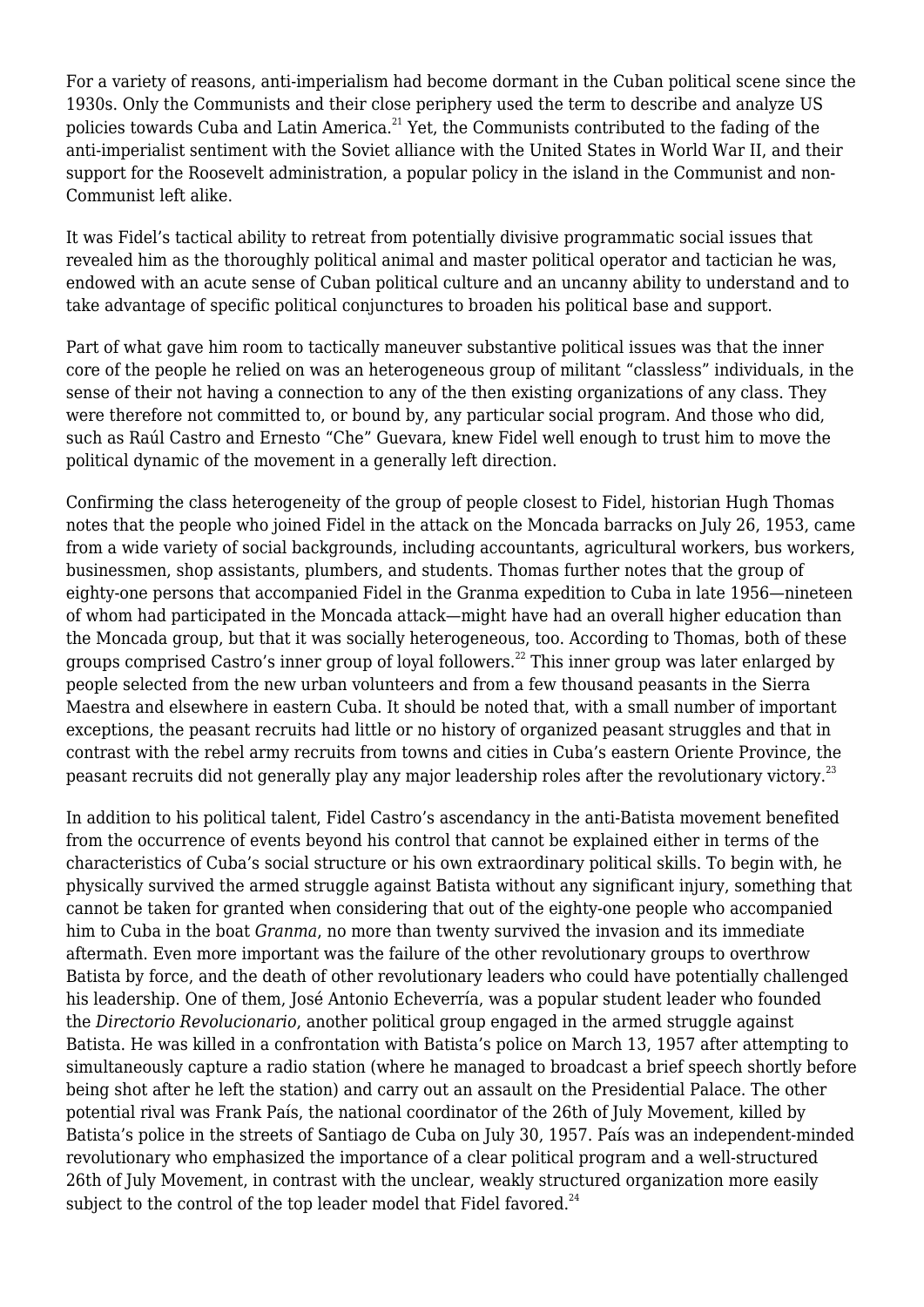For a variety of reasons, anti-imperialism had become dormant in the Cuban political scene since the 1930s. Only the Communists and their close periphery used the term to describe and analyze US policies towards Cuba and Latin America.<sup>21</sup> Yet, the Communists contributed to the fading of the anti-imperialist sentiment with the Soviet alliance with the United States in World War II, and their support for the Roosevelt administration, a popular policy in the island in the Communist and non-Communist left alike.

It was Fidel's tactical ability to retreat from potentially divisive programmatic social issues that revealed him as the thoroughly political animal and master political operator and tactician he was, endowed with an acute sense of Cuban political culture and an uncanny ability to understand and to take advantage of specific political conjunctures to broaden his political base and support.

Part of what gave him room to tactically maneuver substantive political issues was that the inner core of the people he relied on was an heterogeneous group of militant "classless" individuals, in the sense of their not having a connection to any of the then existing organizations of any class. They were therefore not committed to, or bound by, any particular social program. And those who did, such as Raúl Castro and Ernesto "Che" Guevara, knew Fidel well enough to trust him to move the political dynamic of the movement in a generally left direction.

Confirming the class heterogeneity of the group of people closest to Fidel, historian Hugh Thomas notes that the people who joined Fidel in the attack on the Moncada barracks on July 26, 1953, came from a wide variety of social backgrounds, including accountants, agricultural workers, bus workers, businessmen, shop assistants, plumbers, and students. Thomas further notes that the group of eighty-one persons that accompanied Fidel in the Granma expedition to Cuba in late 1956—nineteen of whom had participated in the Moncada attack—might have had an overall higher education than the Moncada group, but that it was socially heterogeneous, too. According to Thomas, both of these groups comprised Castro's inner group of loyal followers.<sup>22</sup> This inner group was later enlarged by people selected from the new urban volunteers and from a few thousand peasants in the Sierra Maestra and elsewhere in eastern Cuba. It should be noted that, with a small number of important exceptions, the peasant recruits had little or no history of organized peasant struggles and that in contrast with the rebel army recruits from towns and cities in Cuba's eastern Oriente Province, the peasant recruits did not generally play any major leadership roles after the revolutionary victory.<sup>23</sup>

In addition to his political talent, Fidel Castro's ascendancy in the anti-Batista movement benefited from the occurrence of events beyond his control that cannot be explained either in terms of the characteristics of Cuba's social structure or his own extraordinary political skills. To begin with, he physically survived the armed struggle against Batista without any significant injury, something that cannot be taken for granted when considering that out of the eighty-one people who accompanied him to Cuba in the boat *Granma*, no more than twenty survived the invasion and its immediate aftermath. Even more important was the failure of the other revolutionary groups to overthrow Batista by force, and the death of other revolutionary leaders who could have potentially challenged his leadership. One of them, José Antonio Echeverría, was a popular student leader who founded the *Directorio Revolucionario*, another political group engaged in the armed struggle against Batista. He was killed in a confrontation with Batista's police on March 13, 1957 after attempting to simultaneously capture a radio station (where he managed to broadcast a brief speech shortly before being shot after he left the station) and carry out an assault on the Presidential Palace. The other potential rival was Frank País, the national coordinator of the 26th of July Movement, killed by Batista's police in the streets of Santiago de Cuba on July 30, 1957. País was an independent-minded revolutionary who emphasized the importance of a clear political program and a well-structured 26th of July Movement, in contrast with the unclear, weakly structured organization more easily subject to the control of the top leader model that Fidel favored. $^{24}$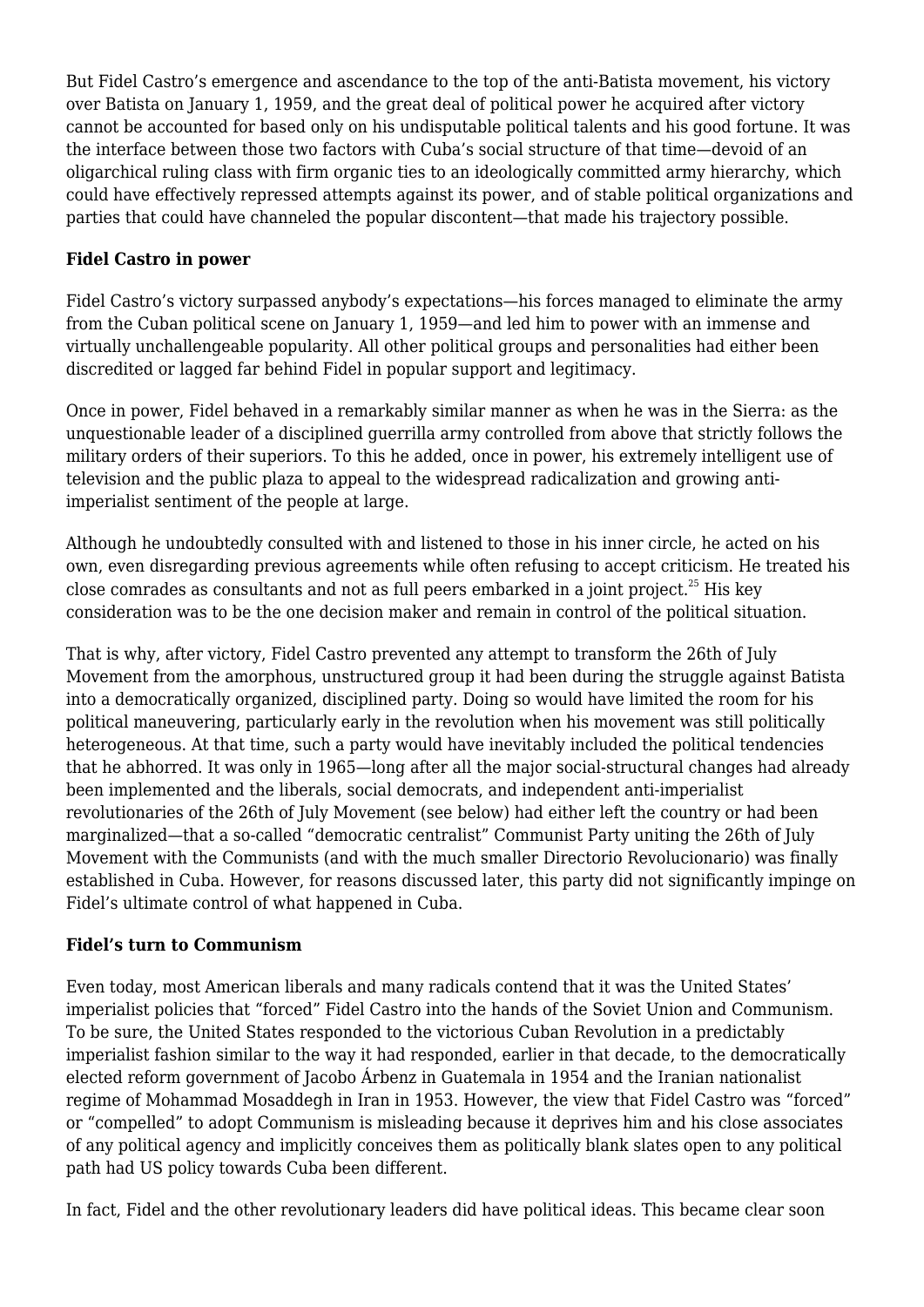But Fidel Castro's emergence and ascendance to the top of the anti-Batista movement, his victory over Batista on January 1, 1959, and the great deal of political power he acquired after victory cannot be accounted for based only on his undisputable political talents and his good fortune. It was the interface between those two factors with Cuba's social structure of that time—devoid of an oligarchical ruling class with firm organic ties to an ideologically committed army hierarchy, which could have effectively repressed attempts against its power, and of stable political organizations and parties that could have channeled the popular discontent—that made his trajectory possible.

## **Fidel Castro in power**

Fidel Castro's victory surpassed anybody's expectations—his forces managed to eliminate the army from the Cuban political scene on January 1, 1959—and led him to power with an immense and virtually unchallengeable popularity. All other political groups and personalities had either been discredited or lagged far behind Fidel in popular support and legitimacy.

Once in power, Fidel behaved in a remarkably similar manner as when he was in the Sierra: as the unquestionable leader of a disciplined guerrilla army controlled from above that strictly follows the military orders of their superiors. To this he added, once in power, his extremely intelligent use of television and the public plaza to appeal to the widespread radicalization and growing antiimperialist sentiment of the people at large.

Although he undoubtedly consulted with and listened to those in his inner circle, he acted on his own, even disregarding previous agreements while often refusing to accept criticism. He treated his close comrades as consultants and not as full peers embarked in a joint project.<sup>25</sup> His key consideration was to be the one decision maker and remain in control of the political situation.

That is why, after victory, Fidel Castro prevented any attempt to transform the 26th of July Movement from the amorphous, unstructured group it had been during the struggle against Batista into a democratically organized, disciplined party. Doing so would have limited the room for his political maneuvering, particularly early in the revolution when his movement was still politically heterogeneous. At that time, such a party would have inevitably included the political tendencies that he abhorred. It was only in 1965—long after all the major social-structural changes had already been implemented and the liberals, social democrats, and independent anti-imperialist revolutionaries of the 26th of July Movement (see below) had either left the country or had been marginalized—that a so-called "democratic centralist" Communist Party uniting the 26th of July Movement with the Communists (and with the much smaller Directorio Revolucionario) was finally established in Cuba. However, for reasons discussed later, this party did not significantly impinge on Fidel's ultimate control of what happened in Cuba.

### **Fidel's turn to Communism**

Even today, most American liberals and many radicals contend that it was the United States' imperialist policies that "forced" Fidel Castro into the hands of the Soviet Union and Communism. To be sure, the United States responded to the victorious Cuban Revolution in a predictably imperialist fashion similar to the way it had responded, earlier in that decade, to the democratically elected reform government of Jacobo Árbenz in Guatemala in 1954 and the Iranian nationalist regime of Mohammad Mosaddegh in Iran in 1953. However, the view that Fidel Castro was "forced" or "compelled" to adopt Communism is misleading because it deprives him and his close associates of any political agency and implicitly conceives them as politically blank slates open to any political path had US policy towards Cuba been different.

In fact, Fidel and the other revolutionary leaders did have political ideas. This became clear soon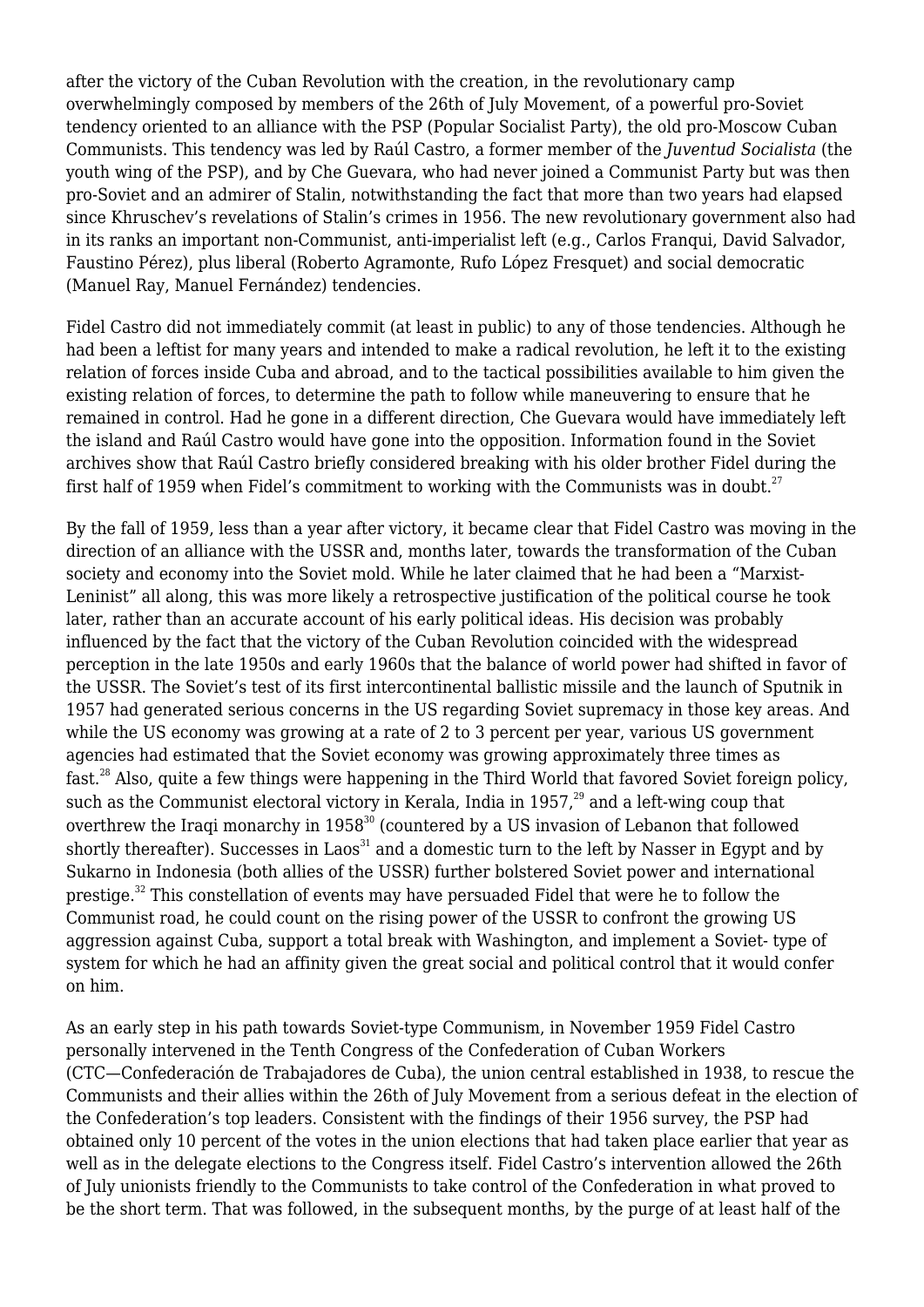after the victory of the Cuban Revolution with the creation, in the revolutionary camp overwhelmingly composed by members of the 26th of July Movement, of a powerful pro-Soviet tendency oriented to an alliance with the PSP (Popular Socialist Party), the old pro-Moscow Cuban Communists. This tendency was led by Raúl Castro, a former member of the *Juventud Socialista* (the youth wing of the PSP), and by Che Guevara, who had never joined a Communist Party but was then pro-Soviet and an admirer of Stalin, notwithstanding the fact that more than two years had elapsed since Khruschev's revelations of Stalin's crimes in 1956. The new revolutionary government also had in its ranks an important non-Communist, anti-imperialist left (e.g., Carlos Franqui, David Salvador, Faustino Pérez), plus liberal (Roberto Agramonte, Rufo López Fresquet) and social democratic (Manuel Ray, Manuel Fernández) tendencies.

Fidel Castro did not immediately commit (at least in public) to any of those tendencies. Although he had been a leftist for many years and intended to make a radical revolution, he left it to the existing relation of forces inside Cuba and abroad, and to the tactical possibilities available to him given the existing relation of forces, to determine the path to follow while maneuvering to ensure that he remained in control. Had he gone in a different direction, Che Guevara would have immediately left the island and Raúl Castro would have gone into the opposition. Information found in the Soviet archives show that Raúl Castro briefly considered breaking with his older brother Fidel during the first half of 1959 when Fidel's commitment to working with the Communists was in doubt.<sup>27</sup>

By the fall of 1959, less than a year after victory, it became clear that Fidel Castro was moving in the direction of an alliance with the USSR and, months later, towards the transformation of the Cuban society and economy into the Soviet mold. While he later claimed that he had been a "Marxist-Leninist" all along, this was more likely a retrospective justification of the political course he took later, rather than an accurate account of his early political ideas. His decision was probably influenced by the fact that the victory of the Cuban Revolution coincided with the widespread perception in the late 1950s and early 1960s that the balance of world power had shifted in favor of the USSR. The Soviet's test of its first intercontinental ballistic missile and the launch of Sputnik in 1957 had generated serious concerns in the US regarding Soviet supremacy in those key areas. And while the US economy was growing at a rate of 2 to 3 percent per year, various US government agencies had estimated that the Soviet economy was growing approximately three times as fast.<sup>28</sup> Also, quite a few things were happening in the Third World that favored Soviet foreign policy, such as the Communist electoral victory in Kerala, India in  $1957<sup>29</sup>$  and a left-wing coup that overthrew the Iraqi monarchy in  $1958^{30}$  (countered by a US invasion of Lebanon that followed shortly thereafter). Successes in Laos<sup>31</sup> and a domestic turn to the left by Nasser in Egypt and by Sukarno in Indonesia (both allies of the USSR) further bolstered Soviet power and international prestige.<sup>32</sup> This constellation of events may have persuaded Fidel that were he to follow the Communist road, he could count on the rising power of the USSR to confront the growing US aggression against Cuba, support a total break with Washington, and implement a Soviet- type of system for which he had an affinity given the great social and political control that it would confer on him.

As an early step in his path towards Soviet-type Communism, in November 1959 Fidel Castro personally intervened in the Tenth Congress of the Confederation of Cuban Workers (CTC—Confederación de Trabajadores de Cuba), the union central established in 1938, to rescue the Communists and their allies within the 26th of July Movement from a serious defeat in the election of the Confederation's top leaders. Consistent with the findings of their 1956 survey, the PSP had obtained only 10 percent of the votes in the union elections that had taken place earlier that year as well as in the delegate elections to the Congress itself. Fidel Castro's intervention allowed the 26th of July unionists friendly to the Communists to take control of the Confederation in what proved to be the short term. That was followed, in the subsequent months, by the purge of at least half of the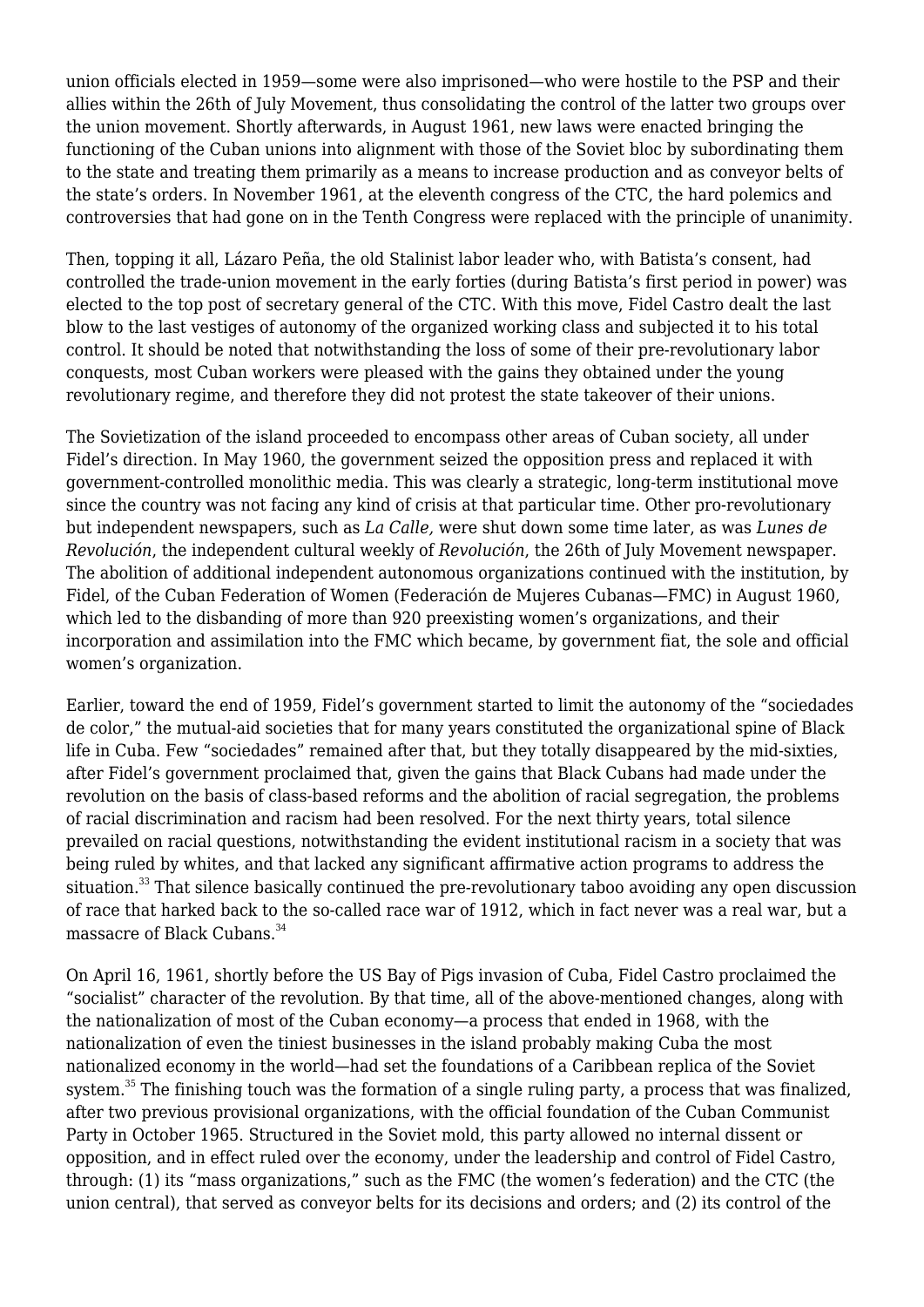union officials elected in 1959—some were also imprisoned—who were hostile to the PSP and their allies within the 26th of July Movement, thus consolidating the control of the latter two groups over the union movement. Shortly afterwards, in August 1961, new laws were enacted bringing the functioning of the Cuban unions into alignment with those of the Soviet bloc by subordinating them to the state and treating them primarily as a means to increase production and as conveyor belts of the state's orders. In November 1961, at the eleventh congress of the CTC, the hard polemics and controversies that had gone on in the Tenth Congress were replaced with the principle of unanimity.

Then, topping it all, Lázaro Peña, the old Stalinist labor leader who, with Batista's consent, had controlled the trade-union movement in the early forties (during Batista's first period in power) was elected to the top post of secretary general of the CTC. With this move, Fidel Castro dealt the last blow to the last vestiges of autonomy of the organized working class and subjected it to his total control. It should be noted that notwithstanding the loss of some of their pre-revolutionary labor conquests, most Cuban workers were pleased with the gains they obtained under the young revolutionary regime, and therefore they did not protest the state takeover of their unions.

The Sovietization of the island proceeded to encompass other areas of Cuban society, all under Fidel's direction. In May 1960, the government seized the opposition press and replaced it with government-controlled monolithic media. This was clearly a strategic, long-term institutional move since the country was not facing any kind of crisis at that particular time. Other pro-revolutionary but independent newspapers, such as *La Calle,* were shut down some time later, as was *Lunes de Revolución*, the independent cultural weekly of *Revolución*, the 26th of July Movement newspaper. The abolition of additional independent autonomous organizations continued with the institution, by Fidel, of the Cuban Federation of Women (Federación de Mujeres Cubanas—FMC) in August 1960, which led to the disbanding of more than 920 preexisting women's organizations, and their incorporation and assimilation into the FMC which became, by government fiat, the sole and official women's organization.

Earlier, toward the end of 1959, Fidel's government started to limit the autonomy of the "sociedades de color," the mutual-aid societies that for many years constituted the organizational spine of Black life in Cuba. Few "sociedades" remained after that, but they totally disappeared by the mid-sixties, after Fidel's government proclaimed that, given the gains that Black Cubans had made under the revolution on the basis of class-based reforms and the abolition of racial segregation, the problems of racial discrimination and racism had been resolved. For the next thirty years, total silence prevailed on racial questions, notwithstanding the evident institutional racism in a society that was being ruled by whites, and that lacked any significant affirmative action programs to address the situation.<sup>33</sup> That silence basically continued the pre-revolutionary taboo avoiding any open discussion of race that harked back to the so-called race war of 1912, which in fact never was a real war, but a massacre of Black Cubans.<sup>34</sup>

On April 16, 1961, shortly before the US Bay of Pigs invasion of Cuba, Fidel Castro proclaimed the "socialist" character of the revolution. By that time, all of the above-mentioned changes, along with the nationalization of most of the Cuban economy—a process that ended in 1968, with the nationalization of even the tiniest businesses in the island probably making Cuba the most nationalized economy in the world—had set the foundations of a Caribbean replica of the Soviet system.<sup>35</sup> The finishing touch was the formation of a single ruling party, a process that was finalized, after two previous provisional organizations, with the official foundation of the Cuban Communist Party in October 1965. Structured in the Soviet mold, this party allowed no internal dissent or opposition, and in effect ruled over the economy, under the leadership and control of Fidel Castro, through: (1) its "mass organizations," such as the FMC (the women's federation) and the CTC (the union central), that served as conveyor belts for its decisions and orders; and (2) its control of the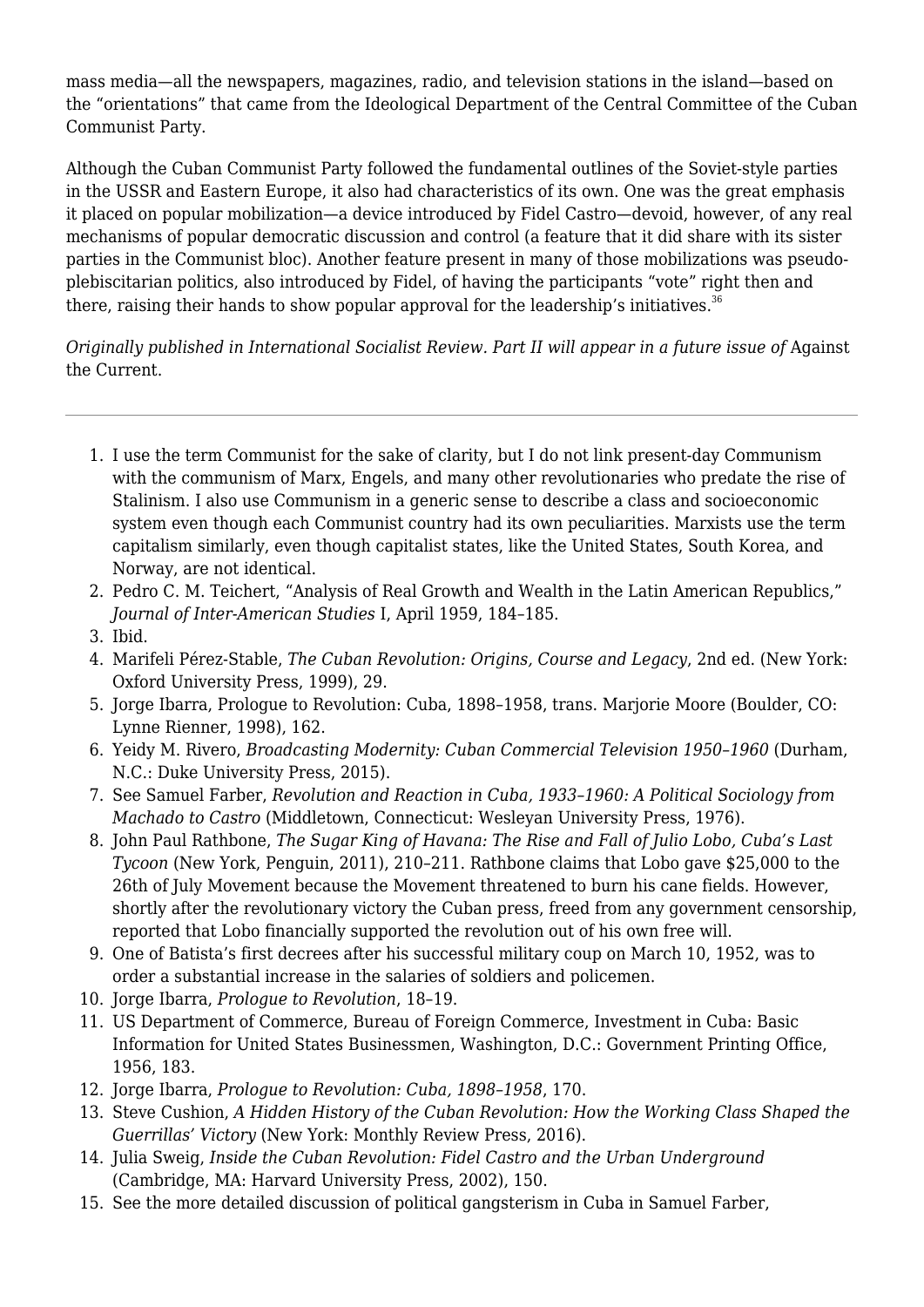mass media—all the newspapers, magazines, radio, and television stations in the island—based on the "orientations" that came from the Ideological Department of the Central Committee of the Cuban Communist Party.

Although the Cuban Communist Party followed the fundamental outlines of the Soviet-style parties in the USSR and Eastern Europe, it also had characteristics of its own. One was the great emphasis it placed on popular mobilization—a device introduced by Fidel Castro—devoid, however, of any real mechanisms of popular democratic discussion and control (a feature that it did share with its sister parties in the Communist bloc). Another feature present in many of those mobilizations was pseudoplebiscitarian politics, also introduced by Fidel, of having the participants "vote" right then and there, raising their hands to show popular approval for the leadership's initiatives.<sup>36</sup>

*Originally published in [International Socialist Review](https://isreview.org/issue/112/fidel-castro). Part II will appear in a future issue of* Against the Current.

- 1. I use the term Communist for the sake of clarity, but I do not link present-day Communism with the communism of Marx, Engels, and many other revolutionaries who predate the rise of Stalinism. I also use Communism in a generic sense to describe a class and socioeconomic system even though each Communist country had its own peculiarities. Marxists use the term capitalism similarly, even though capitalist states, like the United States, South Korea, and Norway, are not identical.
- 2. Pedro C. M. Teichert, "Analysis of Real Growth and Wealth in the Latin American Republics," *Journal of Inter-American Studies* I, April 1959, 184–185.
- 3. Ibid.
- 4. Marifeli Pérez-Stable, *The Cuban Revolution: Origins, Course and Legacy*, 2nd ed. (New York: Oxford University Press, 1999), 29.
- 5. Jorge Ibarra, Prologue to Revolution: Cuba, 1898–1958, trans. Marjorie Moore (Boulder, CO: Lynne Rienner, 1998), 162.
- 6. Yeidy M. Rivero, *Broadcasting Modernity: Cuban Commercial Television 1950–1960* (Durham, N.C.: Duke University Press, 2015).
- 7. See Samuel Farber, *Revolution and Reaction in Cuba, 1933–1960: A Political Sociology from Machado to Castro* (Middletown, Connecticut: Wesleyan University Press, 1976).
- 8. John Paul Rathbone, *The Sugar King of Havana: The Rise and Fall of Julio Lobo, Cuba's Last Tycoon* (New York, Penguin, 2011), 210–211. Rathbone claims that Lobo gave \$25,000 to the 26th of July Movement because the Movement threatened to burn his cane fields. However, shortly after the revolutionary victory the Cuban press, freed from any government censorship, reported that Lobo financially supported the revolution out of his own free will.
- 9. One of Batista's first decrees after his successful military coup on March 10, 1952, was to order a substantial increase in the salaries of soldiers and policemen.
- 10. Jorge Ibarra, *Prologue to Revolution*, 18–19.
- 11. US Department of Commerce, Bureau of Foreign Commerce, Investment in Cuba: Basic Information for United States Businessmen, Washington, D.C.: Government Printing Office, 1956, 183.
- 12. Jorge Ibarra, *Prologue to Revolution: Cuba, 1898–1958*, 170.
- 13. Steve Cushion, *A Hidden History of the Cuban Revolution: How the Working Class Shaped the Guerrillas' Victory* (New York: Monthly Review Press, 2016).
- 14. Julia Sweig, *Inside the Cuban Revolution: Fidel Castro and the Urban Underground* (Cambridge, MA: Harvard University Press, 2002), 150.
- 15. See the more detailed discussion of political gangsterism in Cuba in Samuel Farber,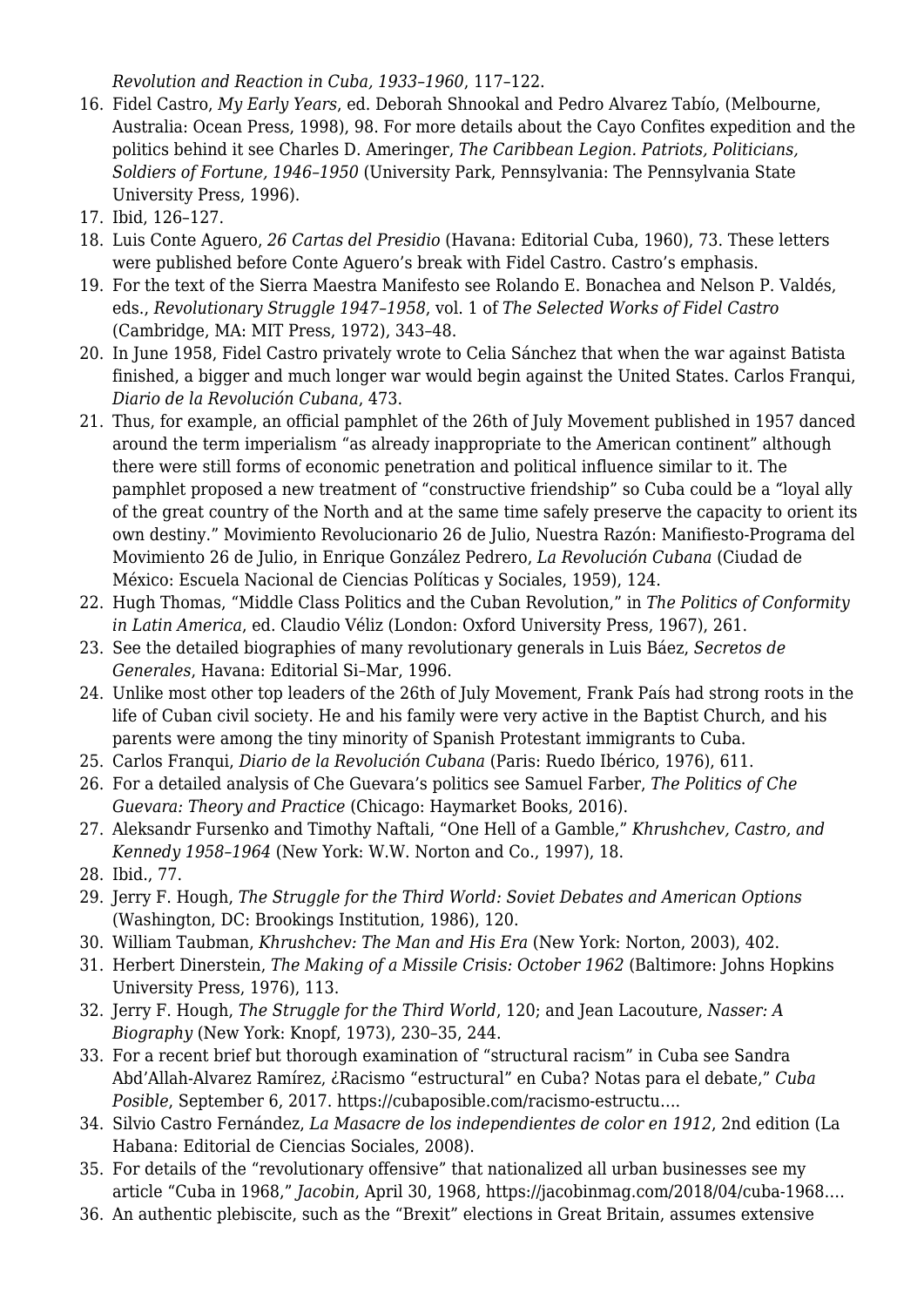*Revolution and Reaction in Cuba, 1933–1960*, 117–122.

- 16. Fidel Castro, *My Early Years*, ed. Deborah Shnookal and Pedro Alvarez Tabío, (Melbourne, Australia: Ocean Press, 1998), 98. For more details about the Cayo Confites expedition and the politics behind it see Charles D. Ameringer, *The Caribbean Legion. Patriots, Politicians, Soldiers of Fortune, 1946–1950* (University Park, Pennsylvania: The Pennsylvania State University Press, 1996).
- 17. Ibid, 126–127.
- 18. Luis Conte Aguero, *26 Cartas del Presidio* (Havana: Editorial Cuba, 1960), 73. These letters were published before Conte Aguero's break with Fidel Castro. Castro's emphasis.
- 19. For the text of the Sierra Maestra Manifesto see Rolando E. Bonachea and Nelson P. Valdés, eds., *Revolutionary Struggle 1947–1958*, vol. 1 of *The Selected Works of Fidel Castro* (Cambridge, MA: MIT Press, 1972), 343–48.
- 20. In June 1958, Fidel Castro privately wrote to Celia Sánchez that when the war against Batista finished, a bigger and much longer war would begin against the United States. Carlos Franqui, *Diario de la Revolución Cubana*, 473.
- 21. Thus, for example, an official pamphlet of the 26th of July Movement published in 1957 danced around the term imperialism "as already inappropriate to the American continent" although there were still forms of economic penetration and political influence similar to it. The pamphlet proposed a new treatment of "constructive friendship" so Cuba could be a "loyal ally of the great country of the North and at the same time safely preserve the capacity to orient its own destiny." Movimiento Revolucionario 26 de Julio, Nuestra Razón: Manifiesto-Programa del Movimiento 26 de Julio, in Enrique González Pedrero, *La Revolución Cubana* (Ciudad de México: Escuela Nacional de Ciencias Políticas y Sociales, 1959), 124.
- 22. Hugh Thomas, "Middle Class Politics and the Cuban Revolution," in *The Politics of Conformity in Latin America*, ed. Claudio Véliz (London: Oxford University Press, 1967), 261.
- 23. See the detailed biographies of many revolutionary generals in Luis Báez, *Secretos de Generales*, Havana: Editorial Si–Mar, 1996.
- 24. Unlike most other top leaders of the 26th of July Movement, Frank País had strong roots in the life of Cuban civil society. He and his family were very active in the Baptist Church, and his parents were among the tiny minority of Spanish Protestant immigrants to Cuba.
- 25. Carlos Franqui, *Diario de la Revolución Cubana* (Paris: Ruedo Ibérico, 1976), 611.
- 26. For a detailed analysis of Che Guevara's politics see Samuel Farber, *The Politics of Che Guevara: Theory and Practice* (Chicago: Haymarket Books, 2016).
- 27. Aleksandr Fursenko and Timothy Naftali, "One Hell of a Gamble," *Khrushchev, Castro, and Kennedy 1958–1964* (New York: W.W. Norton and Co., 1997), 18.
- 28. Ibid., 77.
- 29. Jerry F. Hough, *The Struggle for the Third World: Soviet Debates and American Options* (Washington, DC: Brookings Institution, 1986), 120.
- 30. William Taubman, *Khrushchev: The Man and His Era* (New York: Norton, 2003), 402.
- 31. Herbert Dinerstein, *The Making of a Missile Crisis: October 1962* (Baltimore: Johns Hopkins University Press, 1976), 113.
- 32. Jerry F. Hough, *The Struggle for the Third World*, 120; and Jean Lacouture, *Nasser: A Biography* (New York: Knopf, 1973), 230–35, 244.
- 33. For a recent brief but thorough examination of "structural racism" in Cuba see Sandra Abd'Allah-Alvarez Ramírez, ¿Racismo "estructural" en Cuba? Notas para el debate," *Cuba Posible*, September 6, 2017. [https://cubaposible.com/racismo-estructu…](https://cubaposible.com/racismo-estructural-cuba-notas-debate/).
- 34. Silvio Castro Fernández, *La Masacre de los independientes de color en 1912*, 2nd edition (La Habana: Editorial de Ciencias Sociales, 2008).
- 35. For details of the "revolutionary offensive" that nationalized all urban businesses see my article "Cuba in 1968," *Jacobin*, April 30, 1968, [https://jacobinmag.com/2018/04/cuba-1968…](https://jacobinmag.com/2018/04/cuba-1968-fidel-castro-revolution-repression).
- 36. An authentic plebiscite, such as the "Brexit" elections in Great Britain, assumes extensive